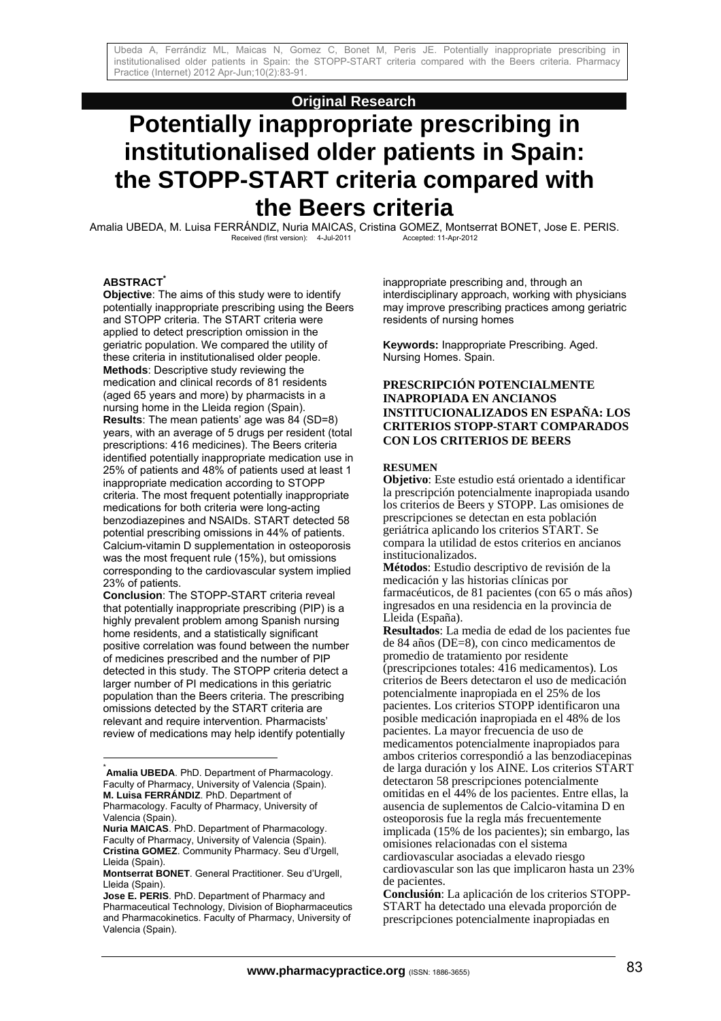# **Original Research**

# **Potentially inappropriate prescribing in institutionalised older patients in Spain: the STOPP-START criteria compared with the Beers criteria**

Amalia UBEDA, M. Luisa FERRÁNDIZ, Nuria MAICAS, Cristina GOMEZ, Montserrat BONET, Jose E. PERIS.<br>Accepted: 11-Apr-2012<br>Accepted: 11-Apr-2012 Received (first version): 4-Jul-2011

# **ABSTRACT\***

**Objective**: The aims of this study were to identify potentially inappropriate prescribing using the Beers and STOPP criteria. The START criteria were applied to detect prescription omission in the geriatric population. We compared the utility of these criteria in institutionalised older people. **Methods**: Descriptive study reviewing the medication and clinical records of 81 residents (aged 65 years and more) by pharmacists in a nursing home in the Lleida region (Spain). **Results**: The mean patients' age was 84 (SD=8) years, with an average of 5 drugs per resident (total prescriptions: 416 medicines). The Beers criteria identified potentially inappropriate medication use in 25% of patients and 48% of patients used at least 1 inappropriate medication according to STOPP criteria. The most frequent potentially inappropriate medications for both criteria were long-acting benzodiazepines and NSAIDs. START detected 58 potential prescribing omissions in 44% of patients. Calcium-vitamin D supplementation in osteoporosis was the most frequent rule (15%), but omissions corresponding to the cardiovascular system implied 23% of patients.

**Conclusion**: The STOPP-START criteria reveal that potentially inappropriate prescribing (PIP) is a highly prevalent problem among Spanish nursing home residents, and a statistically significant positive correlation was found between the number of medicines prescribed and the number of PIP detected in this study. The STOPP criteria detect a larger number of PI medications in this geriatric population than the Beers criteria. The prescribing omissions detected by the START criteria are relevant and require intervention. Pharmacists' review of medications may help identify potentially

l

inappropriate prescribing and, through an interdisciplinary approach, working with physicians may improve prescribing practices among geriatric residents of nursing homes

**Keywords:** Inappropriate Prescribing. Aged. Nursing Homes. Spain.

## **PRESCRIPCIÓN POTENCIALMENTE INAPROPIADA EN ANCIANOS INSTITUCIONALIZADOS EN ESPAÑA: LOS CRITERIOS STOPP-START COMPARADOS CON LOS CRITERIOS DE BEERS**

### **RESUMEN**

**Objetivo**: Este estudio está orientado a identificar la prescripción potencialmente inapropiada usando los criterios de Beers y STOPP. Las omisiones de prescripciones se detectan en esta población geriátrica aplicando los criterios START. Se compara la utilidad de estos criterios en ancianos institucionalizados.

**Métodos**: Estudio descriptivo de revisión de la medicación y las historias clínicas por farmacéuticos, de 81 pacientes (con 65 o más años) ingresados en una residencia en la provincia de Lleida (España).

<sup>\*</sup> **Amalia UBEDA**. PhD. Department of Pharmacology. Faculty of Pharmacy, University of Valencia (Spain). **M. Luisa FERRÁNDIZ**. PhD. Department of Pharmacology. Faculty of Pharmacy, University of Valencia (Spain).

**Nuria MAICAS**. PhD. Department of Pharmacology. Faculty of Pharmacy, University of Valencia (Spain). **Cristina GOMEZ**. Community Pharmacy. Seu d'Urgell, Lleida (Spain).

**Montserrat BONET**. General Practitioner. Seu d'Urgell, Lleida (Spain).

**Jose E. PERIS**. PhD. Department of Pharmacy and Pharmaceutical Technology, Division of Biopharmaceutics and Pharmacokinetics. Faculty of Pharmacy, University of Valencia (Spain).

**Resultados**: La media de edad de los pacientes fue de 84 años (DE=8), con cinco medicamentos de promedio de tratamiento por residente (prescripciones totales: 416 medicamentos). Los criterios de Beers detectaron el uso de medicación potencialmente inapropiada en el 25% de los pacientes. Los criterios STOPP identificaron una posible medicación inapropiada en el 48% de los pacientes. La mayor frecuencia de uso de medicamentos potencialmente inapropiados para ambos criterios correspondió a las benzodiacepinas de larga duración y los AINE. Los criterios START detectaron 58 prescripciones potencialmente omitidas en el 44% de los pacientes. Entre ellas, la ausencia de suplementos de Calcio-vitamina D en osteoporosis fue la regla más frecuentemente implicada (15% de los pacientes); sin embargo, las omisiones relacionadas con el sistema cardiovascular asociadas a elevado riesgo cardiovascular son las que implicaron hasta un 23% de pacientes.

**Conclusión**: La aplicación de los criterios STOPP-START ha detectado una elevada proporción de prescripciones potencialmente inapropiadas en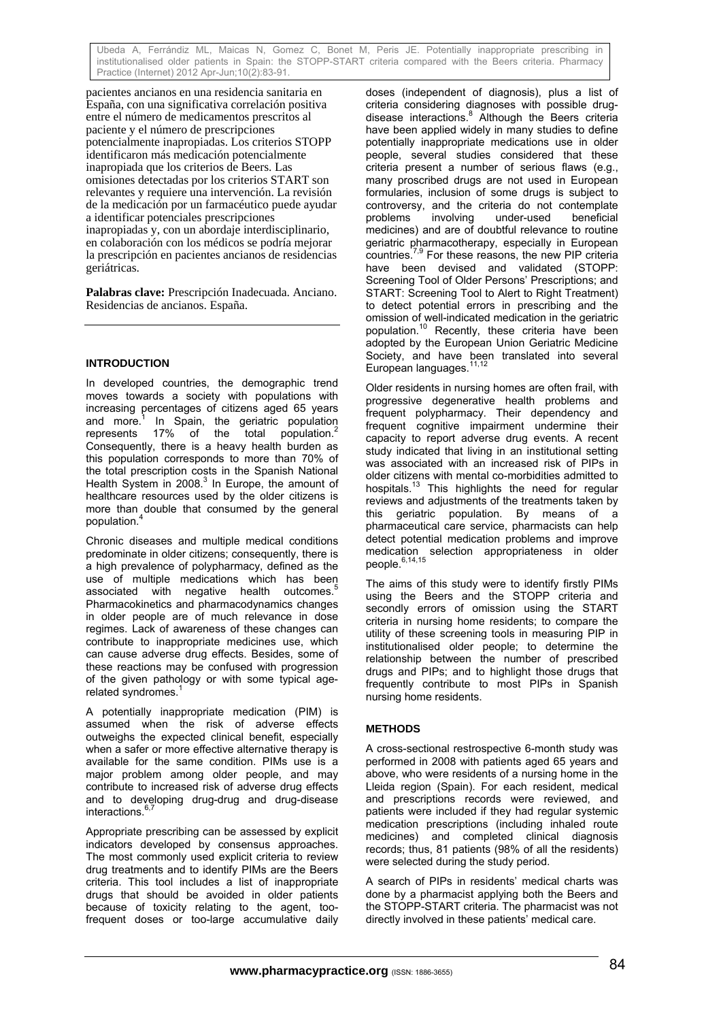pacientes ancianos en una residencia sanitaria en España, con una significativa correlación positiva entre el número de medicamentos prescritos al paciente y el número de prescripciones potencialmente inapropiadas. Los criterios STOPP identificaron más medicación potencialmente inapropiada que los criterios de Beers. Las omisiones detectadas por los criterios START son relevantes y requiere una intervención. La revisión de la medicación por un farmacéutico puede ayudar a identificar potenciales prescripciones inapropiadas y, con un abordaje interdisciplinario, en colaboración con los médicos se podría mejorar la prescripción en pacientes ancianos de residencias geriátricas.

**Palabras clave:** Prescripción Inadecuada. Anciano. Residencias de ancianos. España.

# **INTRODUCTION**

In developed countries, the demographic trend moves towards a society with populations with increasing percentages of citizens aged 65 years and more.<sup>1</sup> In Spain, the geriatric population represents 17% of the total population.<sup>2</sup> Consequently, there is a heavy health burden as this population corresponds to more than 70% of the total prescription costs in the Spanish National Health System in 2008.<sup>3</sup> In Europe, the amount of healthcare resources used by the older citizens is more than double that consumed by the general population.<sup>4</sup>

Chronic diseases and multiple medical conditions predominate in older citizens; consequently, there is a high prevalence of polypharmacy, defined as the use of multiple medications which has been associated with negative health outcomes. Pharmacokinetics and pharmacodynamics changes in older people are of much relevance in dose regimes. Lack of awareness of these changes can contribute to inappropriate medicines use, which can cause adverse drug effects. Besides, some of these reactions may be confused with progression of the given pathology or with some typical agerelated syndromes.<sup>1</sup>

A potentially inappropriate medication (PIM) is assumed when the risk of adverse effects outweighs the expected clinical benefit, especially when a safer or more effective alternative therapy is available for the same condition. PIMs use is a major problem among older people, and may contribute to increased risk of adverse drug effects and to developing drug-drug and drug-disease interactions.

Appropriate prescribing can be assessed by explicit indicators developed by consensus approaches. The most commonly used explicit criteria to review drug treatments and to identify PIMs are the Beers criteria. This tool includes a list of inappropriate drugs that should be avoided in older patients because of toxicity relating to the agent, toofrequent doses or too-large accumulative daily

doses (independent of diagnosis), plus a list of criteria considering diagnoses with possible drugdisease interactions.<sup>8</sup> Although the Beers criteria have been applied widely in many studies to define potentially inappropriate medications use in older people, several studies considered that these criteria present a number of serious flaws (e.g., many proscribed drugs are not used in European formularies, inclusion of some drugs is subject to controversy, and the criteria do not contemplate<br>problems involving under-used beneficial problems involving under-used beneficial medicines) and are of doubtful relevance to routine geriatric pharmacotherapy, especially in European countries.7,9 For these reasons, the new PIP criteria have been devised and validated (STOPP: Screening Tool of Older Persons' Prescriptions; and START: Screening Tool to Alert to Right Treatment) to detect potential errors in prescribing and the omission of well-indicated medication in the geriatric population.10 Recently, these criteria have been adopted by the European Union Geriatric Medicine Society, and have been translated into several European languages.

Older residents in nursing homes are often frail, with progressive degenerative health problems and frequent polypharmacy. Their dependency and frequent cognitive impairment undermine their capacity to report adverse drug events. A recent study indicated that living in an institutional setting was associated with an increased risk of PIPs in older citizens with mental co-morbidities admitted to hospitals.<sup>13</sup> This highlights the need for regular reviews and adjustments of the treatments taken by this geriatric population. By means of a pharmaceutical care service, pharmacists can help detect potential medication problems and improve medication selection appropriateness in older people.<sup>6,14,15</sup>

The aims of this study were to identify firstly PIMs using the Beers and the STOPP criteria and secondly errors of omission using the START criteria in nursing home residents; to compare the utility of these screening tools in measuring PIP in institutionalised older people; to determine the relationship between the number of prescribed drugs and PIPs; and to highlight those drugs that frequently contribute to most PIPs in Spanish nursing home residents.

# **METHODS**

A cross-sectional restrospective 6-month study was performed in 2008 with patients aged 65 years and above, who were residents of a nursing home in the Lleida region (Spain). For each resident, medical and prescriptions records were reviewed, and patients were included if they had regular systemic medication prescriptions (including inhaled route medicines) and completed clinical diagnosis records; thus, 81 patients (98% of all the residents) were selected during the study period.

A search of PIPs in residents' medical charts was done by a pharmacist applying both the Beers and the STOPP-START criteria. The pharmacist was not directly involved in these patients' medical care.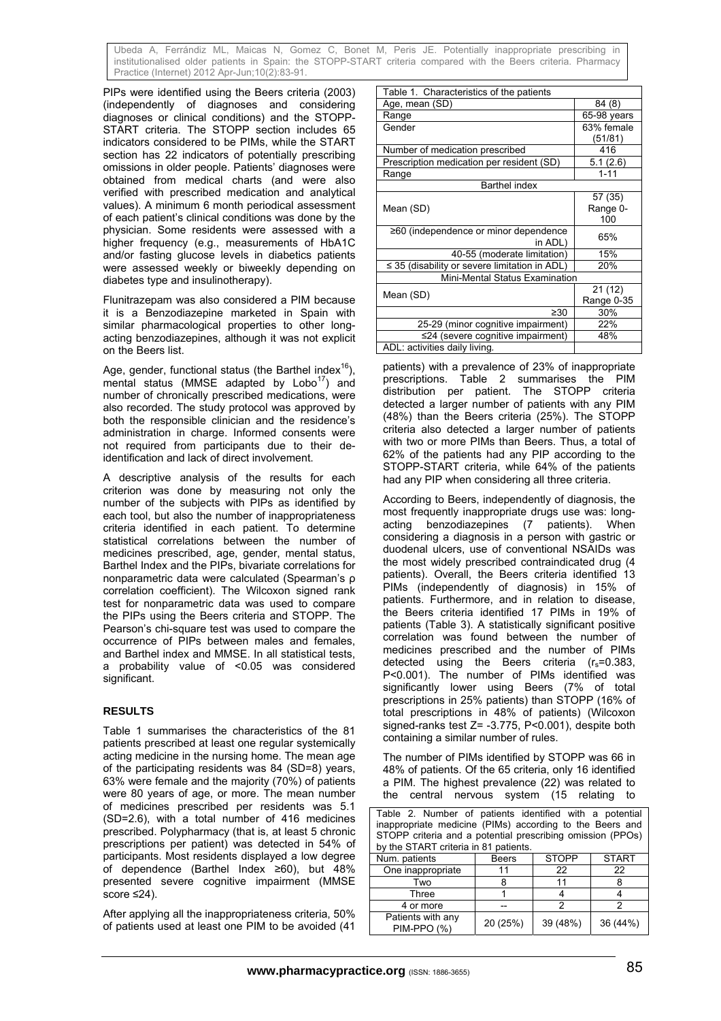PIPs were identified using the Beers criteria (2003) (independently of diagnoses and considering diagnoses or clinical conditions) and the STOPP-START criteria. The STOPP section includes 65 indicators considered to be PIMs, while the START section has 22 indicators of potentially prescribing omissions in older people. Patients' diagnoses were obtained from medical charts (and were also verified with prescribed medication and analytical values). A minimum 6 month periodical assessment of each patient's clinical conditions was done by the physician. Some residents were assessed with a higher frequency (e.g., measurements of HbA1C and/or fasting glucose levels in diabetics patients were assessed weekly or biweekly depending on diabetes type and insulinotherapy).

Flunitrazepam was also considered a PIM because it is a Benzodiazepine marketed in Spain with similar pharmacological properties to other longacting benzodiazepines, although it was not explicit on the Beers list.

Age, gender, functional status (the Barthel index $16$ ). mental status (MMSE adapted by  $Lobo<sup>17</sup>$ ) and number of chronically prescribed medications, were also recorded. The study protocol was approved by both the responsible clinician and the residence's administration in charge. Informed consents were not required from participants due to their deidentification and lack of direct involvement.

A descriptive analysis of the results for each criterion was done by measuring not only the number of the subjects with PIPs as identified by each tool, but also the number of inappropriateness criteria identified in each patient. To determine statistical correlations between the number of medicines prescribed, age, gender, mental status, Barthel Index and the PIPs, bivariate correlations for nonparametric data were calculated (Spearman's ρ correlation coefficient). The Wilcoxon signed rank test for nonparametric data was used to compare the PIPs using the Beers criteria and STOPP. The Pearson's chi-square test was used to compare the occurrence of PIPs between males and females, and Barthel index and MMSE. In all statistical tests, a probability value of <0.05 was considered significant.

# **RESULTS**

Table 1 summarises the characteristics of the 81 patients prescribed at least one regular systemically acting medicine in the nursing home. The mean age of the participating residents was 84 (SD=8) years, 63% were female and the majority (70%) of patients were 80 years of age, or more. The mean number of medicines prescribed per residents was 5.1 (SD=2.6), with a total number of 416 medicines prescribed. Polypharmacy (that is, at least 5 chronic prescriptions per patient) was detected in 54% of participants. Most residents displayed a low degree of dependence (Barthel Index ≥60), but 48% presented severe cognitive impairment (MMSE score ≤24).

After applying all the inappropriateness criteria, 50% of patients used at least one PIM to be avoided (41

| Table 1. Characteristics of the patients           |             |  |  |
|----------------------------------------------------|-------------|--|--|
| Age, mean (SD)                                     | 84 (8)      |  |  |
| Range                                              | 65-98 years |  |  |
| Gender                                             | 63% female  |  |  |
|                                                    | (51/81)     |  |  |
| Number of medication prescribed                    | 416         |  |  |
| Prescription medication per resident (SD)          | 5.1(2.6)    |  |  |
| Range                                              | $1 - 11$    |  |  |
| <b>Barthel index</b>                               |             |  |  |
|                                                    | 57 (35)     |  |  |
| Mean (SD)                                          | Range 0-    |  |  |
|                                                    | 100         |  |  |
| ≥60 (independence or minor dependence              | 65%         |  |  |
| in ADL)                                            |             |  |  |
| 40-55 (moderate limitation)                        | 15%         |  |  |
| $\leq$ 35 (disability or severe limitation in ADL) | 20%         |  |  |
| Mini-Mental Status Examination                     |             |  |  |
| Mean (SD)                                          | 21 (12)     |  |  |
|                                                    | Range 0-35  |  |  |
| $\geq 30$                                          | 30%         |  |  |
| 25-29 (minor cognitive impairment)                 | 22%         |  |  |
| $\leq$ 24 (severe cognitive impairment)            | 48%         |  |  |
| ADL: activities daily living.                      |             |  |  |

patients) with a prevalence of 23% of inappropriate prescriptions. Table 2 summarises the PIM distribution per patient. The STOPP criteria detected a larger number of patients with any PIM (48%) than the Beers criteria (25%). The STOPP criteria also detected a larger number of patients with two or more PIMs than Beers. Thus, a total of 62% of the patients had any PIP according to the STOPP-START criteria, while 64% of the patients had any PIP when considering all three criteria.

According to Beers, independently of diagnosis, the most frequently inappropriate drugs use was: longacting benzodiazepines (7 patients). When considering a diagnosis in a person with gastric or duodenal ulcers, use of conventional NSAIDs was the most widely prescribed contraindicated drug (4 patients). Overall, the Beers criteria identified 13 PIMs (independently of diagnosis) in 15% of patients. Furthermore, and in relation to disease, the Beers criteria identified 17 PIMs in 19% of patients (Table 3). A statistically significant positive correlation was found between the number of medicines prescribed and the number of PIMs detected using the Beers criteria  $(r_s=0.383,$ P<0.001). The number of PIMs identified was significantly lower using Beers (7% of total prescriptions in 25% patients) than STOPP (16% of total prescriptions in 48% of patients) (Wilcoxon signed-ranks test Z= -3.775, P<0.001), despite both containing a similar number of rules.

The number of PIMs identified by STOPP was 66 in 48% of patients. Of the 65 criteria, only 16 identified a PIM. The highest prevalence (22) was related to the central nervous system (15 relating to

Table 2. Number of patients identified with a potential inappropriate medicine (PIMs) according to the Beers and STOPP criteria and a potential prescribing omission (PPOs) by the START criteria in 81 patients.

| Num. patients                    | <b>Beers</b> | <b>STOPP</b> | <b>START</b> |  |
|----------------------------------|--------------|--------------|--------------|--|
| One inappropriate                |              | 22           | 22           |  |
| Two                              |              |              |              |  |
| Three                            |              |              |              |  |
| 4 or more                        |              |              |              |  |
| Patients with any<br>PIM-PPO (%) | 20 (25%)     | 39 (48%)     | 36 (44%)     |  |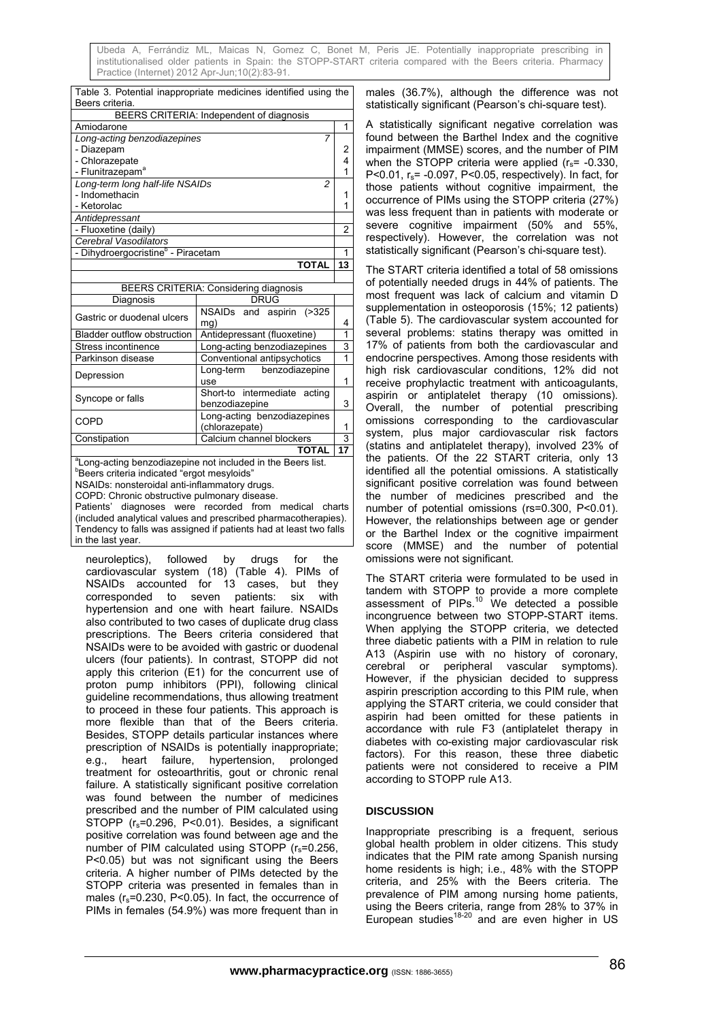| Table 3. Potential inappropriate medicines identified using the                                                                     |                                                                         |                |  |  |
|-------------------------------------------------------------------------------------------------------------------------------------|-------------------------------------------------------------------------|----------------|--|--|
| Beers criteria.                                                                                                                     |                                                                         |                |  |  |
| BEERS CRITERIA: Independent of diagnosis                                                                                            |                                                                         |                |  |  |
| Amiodarone                                                                                                                          |                                                                         | 1              |  |  |
| Long-acting benzodiazepines                                                                                                         | 7                                                                       |                |  |  |
| - Diazepam                                                                                                                          |                                                                         | 2              |  |  |
| - Chlorazepate                                                                                                                      |                                                                         | 4<br>1         |  |  |
| - Flunitrazepam <sup>a</sup>                                                                                                        |                                                                         |                |  |  |
| Long-term long half-life NSAIDs<br>2                                                                                                |                                                                         |                |  |  |
| - Indomethacin                                                                                                                      |                                                                         | 1              |  |  |
| - Ketorolac                                                                                                                         |                                                                         | 1              |  |  |
| Antidepressant                                                                                                                      |                                                                         |                |  |  |
| - Fluoxetine (daily)                                                                                                                |                                                                         | $\overline{2}$ |  |  |
| Cerebral Vasodilators                                                                                                               |                                                                         | 1              |  |  |
|                                                                                                                                     | - Dihydroergocristine <sup>b</sup> - Piracetam                          |                |  |  |
| <b>TOTAL</b>                                                                                                                        |                                                                         | 13             |  |  |
|                                                                                                                                     |                                                                         |                |  |  |
|                                                                                                                                     | <b>BEERS CRITERIA: Considering diagnosis</b>                            |                |  |  |
| Diagnosis                                                                                                                           | <b>DRUG</b>                                                             |                |  |  |
| Gastric or duodenal ulcers                                                                                                          | <b>NSAIDs</b><br>( > 325)<br>and<br>aspirin                             |                |  |  |
|                                                                                                                                     | mg)                                                                     | 4              |  |  |
| <b>Bladder outflow obstruction</b>                                                                                                  | Antidepressant (fluoxetine)                                             | 1              |  |  |
| Stress incontinence                                                                                                                 | Long-acting benzodiazepines                                             | 3              |  |  |
| Parkinson disease                                                                                                                   | Conventional antipsychotics                                             | 1              |  |  |
| Depression                                                                                                                          | Long-term<br>benzodiazepine                                             |                |  |  |
|                                                                                                                                     | use                                                                     | 1              |  |  |
| Syncope or falls                                                                                                                    | Short-to intermediate acting                                            |                |  |  |
|                                                                                                                                     | benzodiazepine                                                          | 3              |  |  |
| COPD                                                                                                                                | Long-acting benzodiazepines                                             |                |  |  |
|                                                                                                                                     | (chlorazepate)                                                          | 1              |  |  |
| Constipation                                                                                                                        | Calcium channel blockers                                                | 3              |  |  |
|                                                                                                                                     | <b>TOTAL</b>                                                            | 17             |  |  |
|                                                                                                                                     | <sup>a</sup> Long-acting benzodiazepine not included in the Beers list. |                |  |  |
| "Beers criteria indicated "ergot mesyloids"                                                                                         |                                                                         |                |  |  |
| NSAIDs: nonsteroidal anti-inflammatory drugs.                                                                                       |                                                                         |                |  |  |
| COPD: Chronic obstructive pulmonary disease.                                                                                        |                                                                         |                |  |  |
| diagnoses<br>were recorded<br>Patients'<br>from medical<br>charts                                                                   |                                                                         |                |  |  |
| (included analytical values and prescribed pharmacotherapies).<br>Tendency to falls was assigned if patients had at least two falls |                                                                         |                |  |  |
|                                                                                                                                     |                                                                         |                |  |  |
| in the last year.                                                                                                                   |                                                                         |                |  |  |

neuroleptics), followed by drugs for the cardiovascular system (18) (Table 4). PIMs of NSAIDs accounted for 13 cases, but they corresponded to seven patients: six with hypertension and one with heart failure. NSAIDs also contributed to two cases of duplicate drug class prescriptions. The Beers criteria considered that NSAIDs were to be avoided with gastric or duodenal ulcers (four patients). In contrast, STOPP did not apply this criterion (E1) for the concurrent use of proton pump inhibitors (PPI), following clinical guideline recommendations, thus allowing treatment to proceed in these four patients. This approach is more flexible than that of the Beers criteria. Besides, STOPP details particular instances where prescription of NSAIDs is potentially inappropriate; e.g., heart failure, hypertension, prolonged treatment for osteoarthritis, gout or chronic renal failure. A statistically significant positive correlation was found between the number of medicines prescribed and the number of PIM calculated using STOPP (r<sub>s</sub>=0.296, P<0.01). Besides, a significant positive correlation was found between age and the number of PIM calculated using STOPP  $(r_s=0.256)$ . P<0.05) but was not significant using the Beers criteria. A higher number of PIMs detected by the STOPP criteria was presented in females than in males  $(r_s=0.230, P<0.05)$ . In fact, the occurrence of PIMs in females (54.9%) was more frequent than in males (36.7%), although the difference was not statistically significant (Pearson's chi-square test).

A statistically significant negative correlation was found between the Barthel Index and the cognitive impairment (MMSE) scores, and the number of PIM when the STOPP criteria were applied  $(r_s = -0.330)$ , P<0.01, rs= -0.097, P<0.05, respectively). In fact, for those patients without cognitive impairment, the occurrence of PIMs using the STOPP criteria (27%) was less frequent than in patients with moderate or severe cognitive impairment (50% and 55%, respectively). However, the correlation was not statistically significant (Pearson's chi-square test).

The START criteria identified a total of 58 omissions of potentially needed drugs in 44% of patients. The most frequent was lack of calcium and vitamin D supplementation in osteoporosis (15%; 12 patients) (Table 5). The cardiovascular system accounted for several problems: statins therapy was omitted in 17% of patients from both the cardiovascular and endocrine perspectives. Among those residents with high risk cardiovascular conditions, 12% did not receive prophylactic treatment with anticoagulants, aspirin or antiplatelet therapy (10 omissions). Overall, the number of potential prescribing omissions corresponding to the cardiovascular system, plus major cardiovascular risk factors (statins and antiplatelet therapy), involved 23% of the patients. Of the 22 START criteria, only 13 identified all the potential omissions. A statistically significant positive correlation was found between the number of medicines prescribed and the number of potential omissions (rs=0.300, P<0.01). However, the relationships between age or gender or the Barthel Index or the cognitive impairment score (MMSE) and the number of potential omissions were not significant.

The START criteria were formulated to be used in tandem with STOPP to provide a more complete assessment of PIPs. $10$  We detected a possible incongruence between two STOPP-START items. When applying the STOPP criteria, we detected three diabetic patients with a PIM in relation to rule A13 (Aspirin use with no history of coronary, cerebral or peripheral vascular symptoms). However, if the physician decided to suppress aspirin prescription according to this PIM rule, when applying the START criteria, we could consider that aspirin had been omitted for these patients in accordance with rule F3 (antiplatelet therapy in diabetes with co-existing major cardiovascular risk factors). For this reason, these three diabetic patients were not considered to receive a PIM according to STOPP rule A13.

# **DISCUSSION**

Inappropriate prescribing is a frequent, serious global health problem in older citizens. This study indicates that the PIM rate among Spanish nursing home residents is high; i.e., 48% with the STOPP criteria, and 25% with the Beers criteria. The prevalence of PIM among nursing home patients, using the Beers criteria, range from 28% to 37% in European studies<sup>18-20</sup> and are even higher in US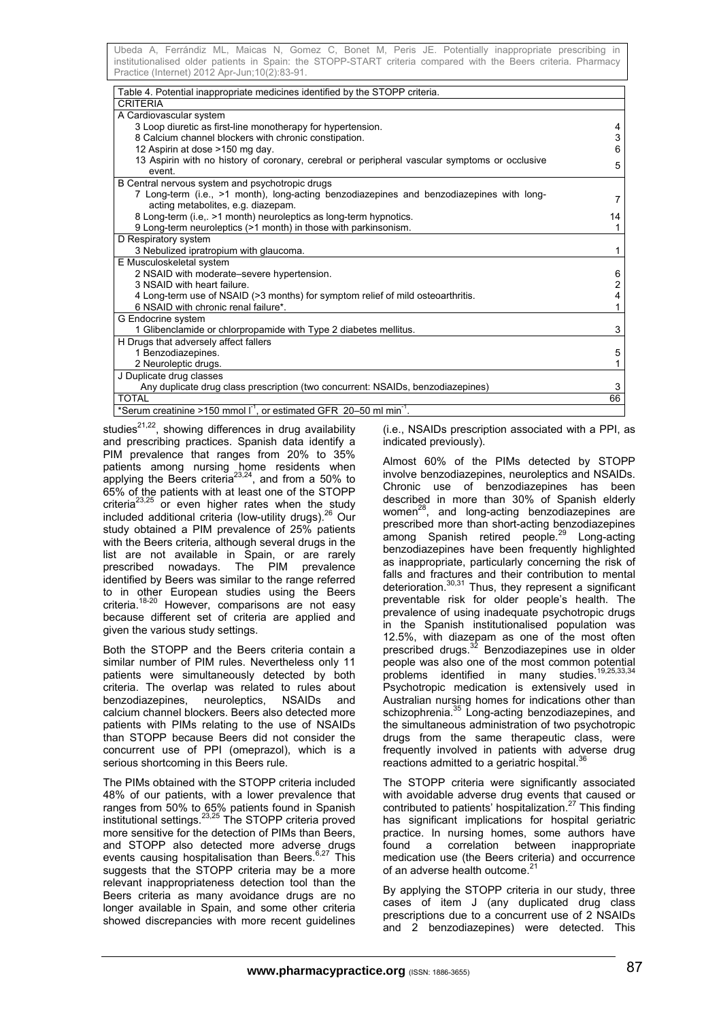| Table 4. Potential inappropriate medicines identified by the STOPP criteria.                                                   |    |
|--------------------------------------------------------------------------------------------------------------------------------|----|
| <b>CRITERIA</b>                                                                                                                |    |
| A Cardiovascular system                                                                                                        |    |
| 3 Loop diuretic as first-line monotherapy for hypertension.                                                                    | 4  |
| 8 Calcium channel blockers with chronic constipation.                                                                          | 3  |
| 12 Aspirin at dose >150 mg day.                                                                                                | 6  |
| 13 Aspirin with no history of coronary, cerebral or peripheral vascular symptoms or occlusive<br>event.                        | 5  |
| B Central nervous system and psychotropic drugs                                                                                |    |
| 7 Long-term (i.e., >1 month), long-acting benzodiazepines and benzodiazepines with long-<br>acting metabolites, e.g. diazepam. |    |
| 8 Long-term (i.e,. >1 month) neuroleptics as long-term hypnotics.                                                              | 14 |
| 9 Long-term neuroleptics (>1 month) in those with parkinsonism.                                                                |    |
| D Respiratory system                                                                                                           |    |
| 3 Nebulized ipratropium with glaucoma.                                                                                         |    |
| E Musculoskeletal system                                                                                                       |    |
| 2 NSAID with moderate-severe hypertension.                                                                                     | 6  |
| 3 NSAID with heart failure.                                                                                                    | 2  |
| 4 Long-term use of NSAID (>3 months) for symptom relief of mild osteoarthritis.                                                | 4  |
| 6 NSAID with chronic renal failure*.                                                                                           |    |
| G Endocrine system                                                                                                             |    |
| 1 Glibenclamide or chlorpropamide with Type 2 diabetes mellitus.                                                               | 3  |
| H Drugs that adversely affect fallers                                                                                          |    |
| 1 Benzodiazepines.                                                                                                             | 5  |
| 2 Neuroleptic drugs.                                                                                                           |    |
| J Duplicate drug classes                                                                                                       |    |
| Any duplicate drug class prescription (two concurrent: NSAIDs, benzodiazepines)                                                | 3  |
| <b>TOTAL</b>                                                                                                                   | 66 |
| *Serum creatinine >150 mmol $I^1$ , or estimated GFR 20-50 ml min <sup>-1</sup> .                                              |    |

studies $^{21,22}$ , showing differences in drug availability and prescribing practices. Spanish data identify a PIM prevalence that ranges from 20% to 35% patients among nursing home residents when applying the Beers criteria<sup>23,24</sup>, and from a 50% to 65% of the patients with at least one of the STOPP criteria<sup>23,25</sup> or even higher rates when the study included additional criteria (low-utility drugs).<sup>26</sup> Our study obtained a PIM prevalence of 25% patients with the Beers criteria, although several drugs in the list are not available in Spain, or are rarely prescribed nowadays. The PIM prevalence identified by Beers was similar to the range referred to in other European studies using the Beers criteria.<sup>18-20</sup> However, comparisons are not easy because different set of criteria are applied and given the various study settings.

Both the STOPP and the Beers criteria contain a similar number of PIM rules. Nevertheless only 11 patients were simultaneously detected by both criteria. The overlap was related to rules about benzodiazepines, neuroleptics, NSAIDs and calcium channel blockers. Beers also detected more patients with PIMs relating to the use of NSAIDs than STOPP because Beers did not consider the concurrent use of PPI (omeprazol), which is a serious shortcoming in this Beers rule.

The PIMs obtained with the STOPP criteria included 48% of our patients, with a lower prevalence that ranges from 50% to 65% patients found in Spanish institutional settings.<sup>23,25</sup> The STOPP criteria proved more sensitive for the detection of PIMs than Beers, and STOPP also detected more adverse drugs events causing hospitalisation than Beers.<sup>6,27</sup> This suggests that the STOPP criteria may be a more relevant inappropriateness detection tool than the Beers criteria as many avoidance drugs are no longer available in Spain, and some other criteria showed discrepancies with more recent guidelines

(i.e., NSAIDs prescription associated with a PPI, as indicated previously).

Almost 60% of the PIMs detected by STOPP involve benzodiazepines, neuroleptics and NSAIDs. Chronic use of benzodiazepines has been described in more than 30% of Spanish elderly women<sup>28</sup>, and long-acting benzodiazepines are prescribed more than short-acting benzodiazepines among Spanish retired people.<sup>29</sup> Long-acting benzodiazepines have been frequently highlighted as inappropriate, particularly concerning the risk of falls and fractures and their contribution to mental deterioration.<sup>30,31</sup> Thus, they represent a significant preventable risk for older people's health. The prevalence of using inadequate psychotropic drugs in the Spanish institutionalised population was 12.5%, with diazepam as one of the most often prescribed drugs.<sup>32</sup> Benzodiazepines use in older people was also one of the most common potential problems identified in many studies.<sup>19,25,33,34</sup> Psychotropic medication is extensively used in Australian nursing homes for indications other than schizophrenia.<sup>35</sup> Long-acting benzodiazepines, and the simultaneous administration of two psychotropic drugs from the same therapeutic class, were frequently involved in patients with adverse drug reactions admitted to a geriatric hospital.<sup>3</sup>

The STOPP criteria were significantly associated with avoidable adverse drug events that caused or contributed to patients' hospitalization.<sup>27</sup> This finding has significant implications for hospital geriatric practice. In nursing homes, some authors have found a correlation between inappropriate medication use (the Beers criteria) and occurrence of an adverse health outcome.<sup>21</sup>

By applying the STOPP criteria in our study, three cases of item J (any duplicated drug class prescriptions due to a concurrent use of 2 NSAIDs and 2 benzodiazepines) were detected. This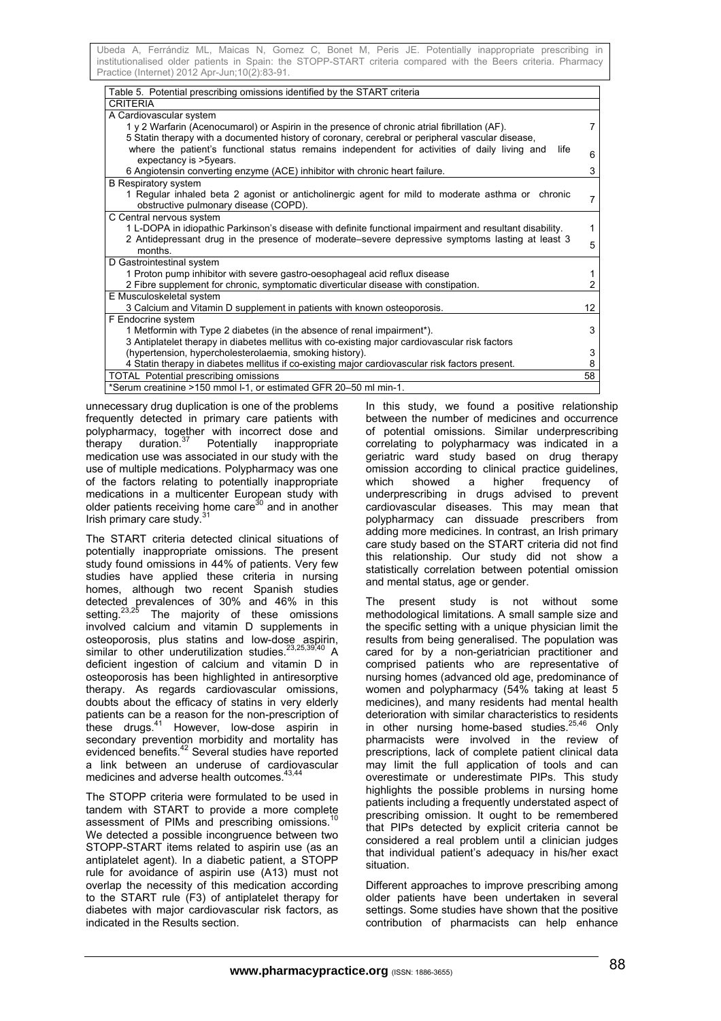| Table 5. Potential prescribing omissions identified by the START criteria                                |    |
|----------------------------------------------------------------------------------------------------------|----|
| <b>CRITERIA</b>                                                                                          |    |
| A Cardiovascular system                                                                                  |    |
| 1 y 2 Warfarin (Acenocumarol) or Aspirin in the presence of chronic atrial fibrillation (AF).            |    |
| 5 Statin therapy with a documented history of coronary, cerebral or peripheral vascular disease,         |    |
| where the patient's functional status remains independent for activities of daily living and<br>life     | 6  |
| expectancy is >5years.                                                                                   |    |
| 6 Angiotensin converting enzyme (ACE) inhibitor with chronic heart failure.                              | 3  |
| <b>B</b> Respiratory system                                                                              |    |
| 1 Regular inhaled beta 2 agonist or anticholinergic agent for mild to moderate asthma or chronic         | 7  |
| obstructive pulmonary disease (COPD).                                                                    |    |
| C Central nervous system                                                                                 |    |
| 1 L-DOPA in idiopathic Parkinson's disease with definite functional impairment and resultant disability. | 1  |
| 2 Antidepressant drug in the presence of moderate–severe depressive symptoms lasting at least 3          | 5  |
| months.                                                                                                  |    |
| D Gastrointestinal system                                                                                |    |
| 1 Proton pump inhibitor with severe gastro-oesophageal acid reflux disease                               |    |
| 2 Fibre supplement for chronic, symptomatic diverticular disease with constipation.                      |    |
| E Musculoskeletal system                                                                                 |    |
| 3 Calcium and Vitamin D supplement in patients with known osteoporosis.                                  | 12 |
| F Endocrine system                                                                                       |    |
| 1 Metformin with Type 2 diabetes (in the absence of renal impairment <sup>*</sup> ).                     | 3  |
| 3 Antiplatelet therapy in diabetes mellitus with co-existing major cardiovascular risk factors           |    |
| (hypertension, hypercholesterolaemia, smoking history).                                                  | 3  |
| 4 Statin therapy in diabetes mellitus if co-existing major cardiovascular risk factors present.          |    |
| <b>TOTAL Potential prescribing omissions</b>                                                             | 58 |
| *Serum creatinine >150 mmol I-1, or estimated GFR 20-50 ml min-1.                                        |    |

unnecessary drug duplication is one of the problems frequently detected in primary care patients with polypharmacy, together with incorrect dose and therapy duration.<sup>37</sup> Potentially inappropriate medication use was associated in our study with the use of multiple medications. Polypharmacy was one of the factors relating to potentially inappropriate medications in a multicenter European study with older patients receiving home care<sup>30</sup> and in another Irish primary care study.

The START criteria detected clinical situations of potentially inappropriate omissions. The present study found omissions in 44% of patients. Very few studies have applied these criteria in nursing homes, although two recent Spanish studies detected prevalences of 30% and 46% in this setting.<sup>23,25</sup> The majority of these omissions involved calcium and vitamin D supplements in osteoporosis, plus statins and low-dose aspirin, similar to other underutilization studies.<sup>23,25,39,40</sup> A deficient ingestion of calcium and vitamin D in osteoporosis has been highlighted in antiresorptive therapy. As regards cardiovascular omissions, doubts about the efficacy of statins in very elderly patients can be a reason for the non-prescription of these drugs.41 However, low-dose aspirin in secondary prevention morbidity and mortality has evidenced benefits.<sup>42</sup> Several studies have reported a link between an underuse of cardiovascular medicines and adverse health outcomes.

The STOPP criteria were formulated to be used in tandem with START to provide a more complete assessment of PIMs and prescribing omissions.<sup>10</sup> We detected a possible incongruence between two STOPP-START items related to aspirin use (as an antiplatelet agent). In a diabetic patient, a STOPP rule for avoidance of aspirin use (A13) must not overlap the necessity of this medication according to the START rule (F3) of antiplatelet therapy for diabetes with major cardiovascular risk factors, as indicated in the Results section.

In this study, we found a positive relationship between the number of medicines and occurrence of potential omissions. Similar underprescribing correlating to polypharmacy was indicated in a geriatric ward study based on drug therapy omission according to clinical practice guidelines, which showed a higher frequency of underprescribing in drugs advised to prevent cardiovascular diseases. This may mean that polypharmacy can dissuade prescribers from adding more medicines. In contrast, an Irish primary care study based on the START criteria did not find this relationship. Our study did not show a statistically correlation between potential omission and mental status, age or gender.

The present study is not without some methodological limitations. A small sample size and the specific setting with a unique physician limit the results from being generalised. The population was cared for by a non-geriatrician practitioner and comprised patients who are representative of nursing homes (advanced old age, predominance of women and polypharmacy (54% taking at least 5 medicines), and many residents had mental health deterioration with similar characteristics to residents in other nursing home-based studies.25,46 Only pharmacists were involved in the review of prescriptions, lack of complete patient clinical data may limit the full application of tools and can overestimate or underestimate PIPs. This study highlights the possible problems in nursing home patients including a frequently understated aspect of prescribing omission. It ought to be remembered that PIPs detected by explicit criteria cannot be considered a real problem until a clinician judges that individual patient's adequacy in his/her exact situation.

Different approaches to improve prescribing among older patients have been undertaken in several settings. Some studies have shown that the positive contribution of pharmacists can help enhance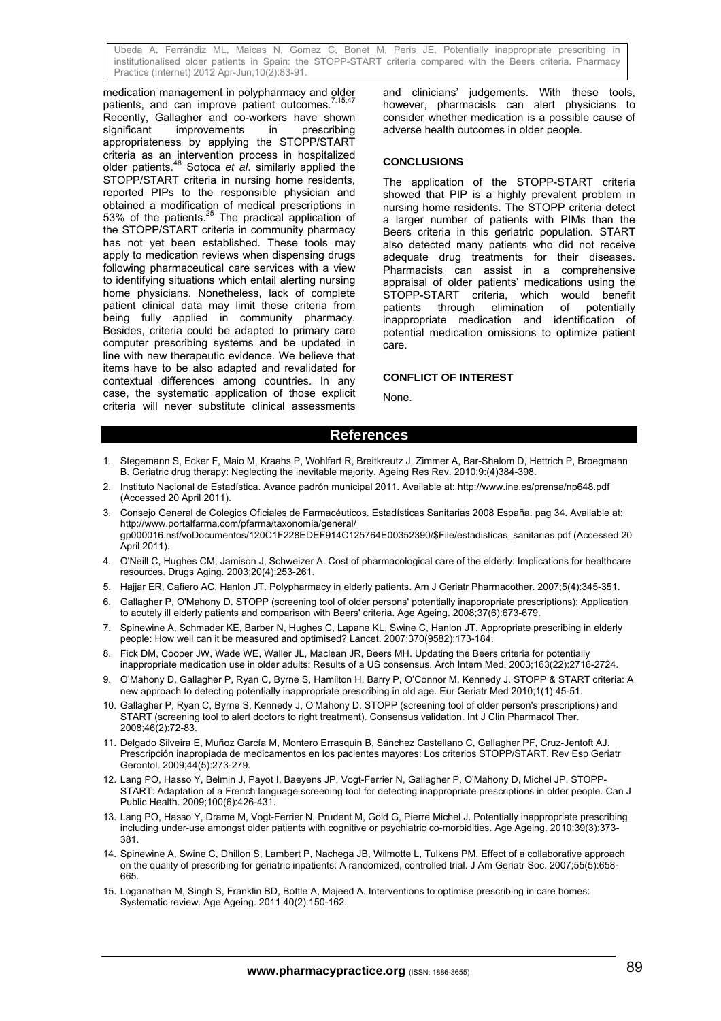medication management in polypharmacy and older patients, and can improve patient outcomes. Recently, Gallagher and co-workers have shown significant improvements in prescribing appropriateness by applying the STOPP/START criteria as an intervention process in hospitalized older patients.48 Sotoca *et al*. similarly applied the STOPP/START criteria in nursing home residents, reported PIPs to the responsible physician and obtained a modification of medical prescriptions in 53% of the patients. $25$  The practical application of the STOPP/START criteria in community pharmacy has not yet been established. These tools may apply to medication reviews when dispensing drugs following pharmaceutical care services with a view to identifying situations which entail alerting nursing home physicians. Nonetheless, lack of complete patient clinical data may limit these criteria from being fully applied in community pharmacy. Besides, criteria could be adapted to primary care computer prescribing systems and be updated in line with new therapeutic evidence. We believe that items have to be also adapted and revalidated for contextual differences among countries. In any case, the systematic application of those explicit criteria will never substitute clinical assessments

and clinicians' judgements. With these tools, however, pharmacists can alert physicians to consider whether medication is a possible cause of adverse health outcomes in older people.

#### **CONCLUSIONS**

The application of the STOPP-START criteria showed that PIP is a highly prevalent problem in nursing home residents. The STOPP criteria detect a larger number of patients with PIMs than the Beers criteria in this geriatric population. START also detected many patients who did not receive adequate drug treatments for their diseases. Pharmacists can assist in a comprehensive appraisal of older patients' medications using the STOPP-START criteria, which would benefit<br>patients through elimination of potentially elimination of potentially inappropriate medication and identification of potential medication omissions to optimize patient care.

### **CONFLICT OF INTEREST**

None.

### **References**

- 1. Stegemann S, Ecker F, Maio M, Kraahs P, Wohlfart R, Breitkreutz J, Zimmer A, Bar-Shalom D, Hettrich P, Broegmann B. Geriatric drug therapy: Neglecting the inevitable majority. Ageing Res Rev. 2010;9:(4)384-398.
- 2. Instituto Nacional de Estadística. Avance padrón municipal 2011. Available at: http://www.ine.es/prensa/np648.pdf (Accessed 20 April 2011).
- 3. Consejo General de Colegios Oficiales de Farmacéuticos. Estadísticas Sanitarias 2008 España. pag 34. Available at: http://www.portalfarma.com/pfarma/taxonomia/general/ gp000016.nsf/voDocumentos/120C1F228EDEF914C125764E00352390/\$File/estadisticas\_sanitarias.pdf (Accessed 20 April 2011).
- 4. O'Neill C, Hughes CM, Jamison J, Schweizer A. Cost of pharmacological care of the elderly: Implications for healthcare resources. Drugs Aging. 2003;20(4):253-261.
- 5. Hajjar ER, Cafiero AC, Hanlon JT. Polypharmacy in elderly patients. Am J Geriatr Pharmacother. 2007;5(4):345-351.
- 6. Gallagher P, O'Mahony D. STOPP (screening tool of older persons' potentially inappropriate prescriptions): Application to acutely ill elderly patients and comparison with Beers' criteria. Age Ageing. 2008;37(6):673-679.
- 7. Spinewine A, Schmader KE, Barber N, Hughes C, Lapane KL, Swine C, Hanlon JT. Appropriate prescribing in elderly people: How well can it be measured and optimised? Lancet. 2007;370(9582):173-184.
- 8. Fick DM, Cooper JW, Wade WE, Waller JL, Maclean JR, Beers MH. Updating the Beers criteria for potentially inappropriate medication use in older adults: Results of a US consensus. Arch Intern Med. 2003;163(22):2716-2724.
- 9. O'Mahony D, Gallagher P, Ryan C, Byrne S, Hamilton H, Barry P, O'Connor M, Kennedy J. STOPP & START criteria: A new approach to detecting potentially inappropriate prescribing in old age. Eur Geriatr Med 2010;1(1):45-51.
- 10. Gallagher P, Ryan C, Byrne S, Kennedy J, O'Mahony D. STOPP (screening tool of older person's prescriptions) and START (screening tool to alert doctors to right treatment). Consensus validation. Int J Clin Pharmacol Ther. 2008;46(2):72-83.
- 11. Delgado Silveira E, Muñoz García M, Montero Errasquin B, Sánchez Castellano C, Gallagher PF, Cruz-Jentoft AJ. Prescripción inapropiada de medicamentos en los pacientes mayores: Los criterios STOPP/START. Rev Esp Geriatr Gerontol. 2009;44(5):273-279.
- 12. Lang PO, Hasso Y, Belmin J, Payot I, Baeyens JP, Vogt-Ferrier N, Gallagher P, O'Mahony D, Michel JP. STOPP-START: Adaptation of a French language screening tool for detecting inappropriate prescriptions in older people. Can J Public Health. 2009;100(6):426-431.
- 13. Lang PO, Hasso Y, Drame M, Vogt-Ferrier N, Prudent M, Gold G, Pierre Michel J. Potentially inappropriate prescribing including under-use amongst older patients with cognitive or psychiatric co-morbidities. Age Ageing. 2010;39(3):373- 381.
- 14. Spinewine A, Swine C, Dhillon S, Lambert P, Nachega JB, Wilmotte L, Tulkens PM. Effect of a collaborative approach on the quality of prescribing for geriatric inpatients: A randomized, controlled trial. J Am Geriatr Soc. 2007;55(5):658- 665.
- 15. Loganathan M, Singh S, Franklin BD, Bottle A, Majeed A. Interventions to optimise prescribing in care homes: Systematic review. Age Ageing. 2011;40(2):150-162.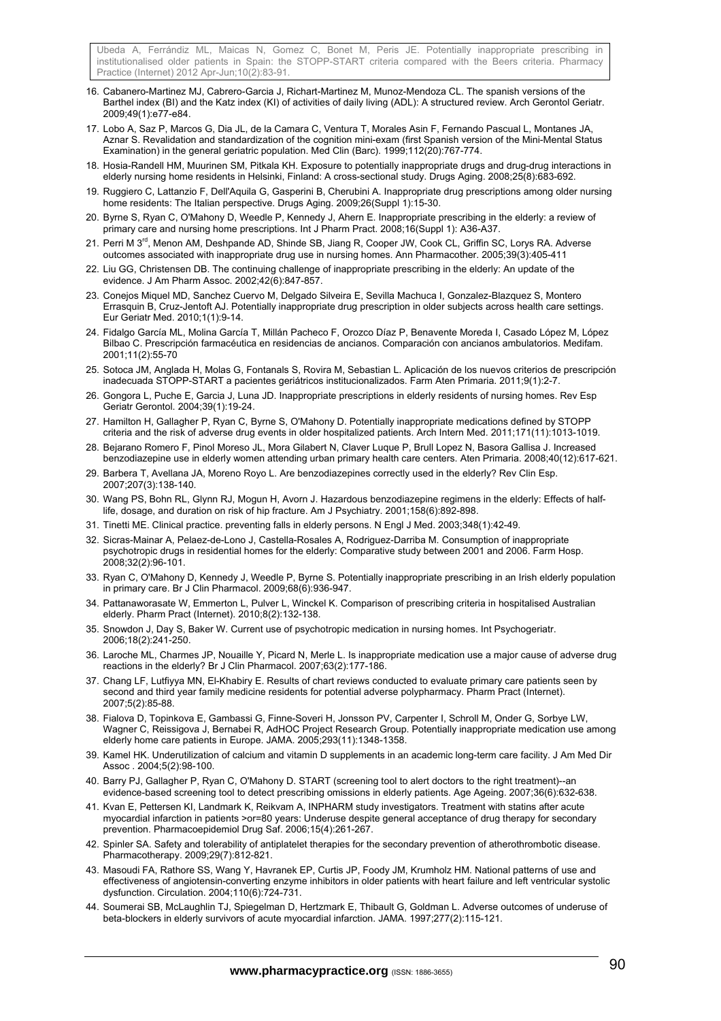- 16. Cabanero-Martinez MJ, Cabrero-Garcia J, Richart-Martinez M, Munoz-Mendoza CL. The spanish versions of the Barthel index (BI) and the Katz index (KI) of activities of daily living (ADL): A structured review. Arch Gerontol Geriatr. 2009;49(1):e77-e84.
- 17. Lobo A, Saz P, Marcos G, Dia JL, de la Camara C, Ventura T, Morales Asin F, Fernando Pascual L, Montanes JA, Aznar S. Revalidation and standardization of the cognition mini-exam (first Spanish version of the Mini-Mental Status Examination) in the general geriatric population. Med Clin (Barc). 1999;112(20):767-774.
- 18. Hosia-Randell HM, Muurinen SM, Pitkala KH. Exposure to potentially inappropriate drugs and drug-drug interactions in elderly nursing home residents in Helsinki, Finland: A cross-sectional study. Drugs Aging. 2008;25(8):683-692.
- 19. Ruggiero C, Lattanzio F, Dell'Aquila G, Gasperini B, Cherubini A. Inappropriate drug prescriptions among older nursing home residents: The Italian perspective. Drugs Aging. 2009;26(Suppl 1):15-30.
- 20. Byrne S, Ryan C, O'Mahony D, Weedle P, Kennedy J, Ahern E. Inappropriate prescribing in the elderly: a review of primary care and nursing home prescriptions. Int J Pharm Pract. 2008;16(Suppl 1): A36-A37.
- 21. Perri M 3<sup>rd</sup>, Menon AM, Deshpande AD, Shinde SB, Jiang R, Cooper JW, Cook CL, Griffin SC, Lorys RA. Adverse outcomes associated with inappropriate drug use in nursing homes. Ann Pharmacother. 2005;39(3):405-411
- 22. Liu GG, Christensen DB. The continuing challenge of inappropriate prescribing in the elderly: An update of the evidence. J Am Pharm Assoc. 2002;42(6):847-857.
- 23. Conejos Miquel MD, Sanchez Cuervo M, Delgado Silveira E, Sevilla Machuca I, Gonzalez-Blazquez S, Montero Errasquin B, Cruz-Jentoft AJ. Potentially inappropriate drug prescription in older subjects across health care settings. Eur Geriatr Med. 2010;1(1):9-14.
- 24. Fidalgo García ML, Molina García T, Millán Pacheco F, Orozco Díaz P, Benavente Moreda I, Casado López M, López Bilbao C. Prescripción farmacéutica en residencias de ancianos. Comparación con ancianos ambulatorios. Medifam. 2001;11(2):55-70
- 25. Sotoca JM, Anglada H, Molas G, Fontanals S, Rovira M, Sebastian L. Aplicación de los nuevos criterios de prescripción inadecuada STOPP-START a pacientes geriátricos institucionalizados. Farm Aten Primaria. 2011;9(1):2-7.
- 26. Gongora L, Puche E, Garcia J, Luna JD. Inappropriate prescriptions in elderly residents of nursing homes. Rev Esp Geriatr Gerontol. 2004;39(1):19-24.
- 27. Hamilton H, Gallagher P, Ryan C, Byrne S, O'Mahony D. Potentially inappropriate medications defined by STOPP criteria and the risk of adverse drug events in older hospitalized patients. Arch Intern Med. 2011;171(11):1013-1019.
- 28. Bejarano Romero F, Pinol Moreso JL, Mora Gilabert N, Claver Luque P, Brull Lopez N, Basora Gallisa J. Increased benzodiazepine use in elderly women attending urban primary health care centers. Aten Primaria. 2008;40(12):617-621.
- 29. Barbera T, Avellana JA, Moreno Royo L. Are benzodiazepines correctly used in the elderly? Rev Clin Esp. 2007;207(3):138-140.
- 30. Wang PS, Bohn RL, Glynn RJ, Mogun H, Avorn J. Hazardous benzodiazepine regimens in the elderly: Effects of halflife, dosage, and duration on risk of hip fracture. Am J Psychiatry. 2001;158(6):892-898.
- 31. Tinetti ME. Clinical practice. preventing falls in elderly persons. N Engl J Med. 2003;348(1):42-49.
- 32. Sicras-Mainar A, Pelaez-de-Lono J, Castella-Rosales A, Rodriguez-Darriba M. Consumption of inappropriate psychotropic drugs in residential homes for the elderly: Comparative study between 2001 and 2006. Farm Hosp. 2008;32(2):96-101.
- 33. Ryan C, O'Mahony D, Kennedy J, Weedle P, Byrne S. Potentially inappropriate prescribing in an Irish elderly population in primary care. Br J Clin Pharmacol. 2009;68(6):936-947.
- 34. Pattanaworasate W, Emmerton L, Pulver L, Winckel K. Comparison of prescribing criteria in hospitalised Australian elderly. Pharm Pract (Internet). 2010;8(2):132-138.
- 35. Snowdon J, Day S, Baker W. Current use of psychotropic medication in nursing homes. Int Psychogeriatr. 2006;18(2):241-250.
- 36. Laroche ML, Charmes JP, Nouaille Y, Picard N, Merle L. Is inappropriate medication use a major cause of adverse drug reactions in the elderly? Br J Clin Pharmacol. 2007;63(2):177-186.
- 37. Chang LF, Lutfiyya MN, El-Khabiry E. Results of chart reviews conducted to evaluate primary care patients seen by second and third year family medicine residents for potential adverse polypharmacy. Pharm Pract (Internet). 2007;5(2):85-88.
- 38. Fialova D, Topinkova E, Gambassi G, Finne-Soveri H, Jonsson PV, Carpenter I, Schroll M, Onder G, Sorbye LW, Wagner C, Reissigova J, Bernabei R, AdHOC Project Research Group. Potentially inappropriate medication use among elderly home care patients in Europe. JAMA. 2005;293(11):1348-1358.
- 39. Kamel HK. Underutilization of calcium and vitamin D supplements in an academic long-term care facility. J Am Med Dir Assoc . 2004;5(2):98-100.
- 40. Barry PJ, Gallagher P, Ryan C, O'Mahony D. START (screening tool to alert doctors to the right treatment)--an evidence-based screening tool to detect prescribing omissions in elderly patients. Age Ageing. 2007;36(6):632-638.
- 41. Kvan E, Pettersen KI, Landmark K, Reikvam A, INPHARM study investigators. Treatment with statins after acute myocardial infarction in patients >or=80 years: Underuse despite general acceptance of drug therapy for secondary prevention. Pharmacoepidemiol Drug Saf. 2006;15(4):261-267.
- 42. Spinler SA. Safety and tolerability of antiplatelet therapies for the secondary prevention of atherothrombotic disease. Pharmacotherapy. 2009;29(7):812-821.
- 43. Masoudi FA, Rathore SS, Wang Y, Havranek EP, Curtis JP, Foody JM, Krumholz HM. National patterns of use and effectiveness of angiotensin-converting enzyme inhibitors in older patients with heart failure and left ventricular systolic dysfunction. Circulation. 2004;110(6):724-731.
- 44. Soumerai SB, McLaughlin TJ, Spiegelman D, Hertzmark E, Thibault G, Goldman L. Adverse outcomes of underuse of beta-blockers in elderly survivors of acute myocardial infarction. JAMA. 1997;277(2):115-121.